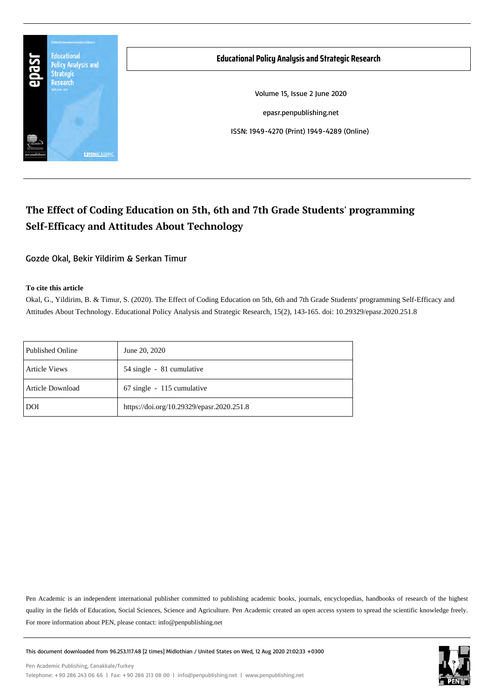

# **The Effect of Coding Education on 5th, 6th and 7th Grade Students' programming Self-Efficacy and Attitudes About Technology**

Gozde Okal, Bekir Yildirim & Serkan Timur

#### **To cite this article**

Okal, G., Yildirim, B. & Timur, S. (2020). The Effect of Coding Education on 5th, 6th and 7th Grade Students' programming Self-Efficacy and Attitudes About Technology. Educational Policy Analysis and Strategic Research, 15(2), 143-165. doi: 10.29329/epasr.2020.251.8

| Published Online        | June 20, 2020                             |
|-------------------------|-------------------------------------------|
| <b>Article Views</b>    | 54 single - 81 cumulative                 |
| <b>Article Download</b> | 67 single - 115 cumulative                |
| DOI                     | https://doi.org/10.29329/epasr.2020.251.8 |

Pen Academic is an independent international publisher committed to publishing academic books, journals, encyclopedias, handbooks of research of the highest quality in the fields of Education, Social Sciences, Science and Agriculture. Pen Academic created an open access system to spread the scientific knowledge freely. For more information about PEN, please contact: info@penpublishing.net



This document downloaded from 96.253.117.48 [2 times] Midlothian / United States on Wed, 12 Aug 2020 21:02:33 +0300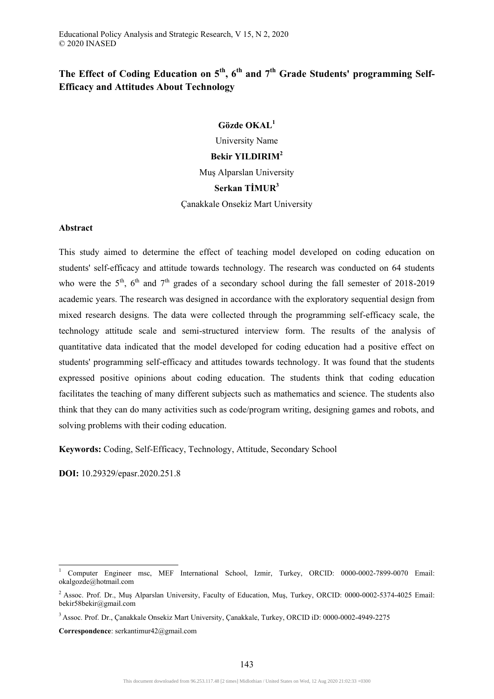# **The Effect of Coding Education on 5th, 6th and 7th Grade Students' programming Self-Efficacy and Attitudes About Technology**

# **Gözde OKAL<sup>1</sup>**

University Name **Bekir YILDIRIM<sup>2</sup>** Muş Alparslan University **Serkan TİMUR<sup>3</sup>** Çanakkale Onsekiz Mart University

#### **Abstract**

This study aimed to determine the effect of teaching model developed on coding education on students' self-efficacy and attitude towards technology. The research was conducted on 64 students who were the  $5<sup>th</sup>$ ,  $6<sup>th</sup>$  and  $7<sup>th</sup>$  grades of a secondary school during the fall semester of 2018-2019 academic years. The research was designed in accordance with the exploratory sequential design from mixed research designs. The data were collected through the programming self-efficacy scale, the technology attitude scale and semi-structured interview form. The results of the analysis of quantitative data indicated that the model developed for coding education had a positive effect on students' programming self-efficacy and attitudes towards technology. It was found that the students expressed positive opinions about coding education. The students think that coding education facilitates the teaching of many different subjects such as mathematics and science. The students also think that they can do many activities such as code/program writing, designing games and robots, and solving problems with their coding education.

**Keywords:** Coding, Self-Efficacy, Technology, Attitude, Secondary School

**DOI:** 10.29329/epasr.2020.251.8

-

**Correspondence**: serkantimur42@gmail.com

<sup>1</sup> Computer Engineer msc, MEF International School, Izmir, Turkey, ORCID: 0000-0002-7899-0070 Email: okalgozde@hotmail.com

<sup>&</sup>lt;sup>2</sup> Assoc. Prof. Dr., Muş Alparslan University, Faculty of Education, Muş, Turkey, ORCID: 0000-0002-5374-4025 Email: bekir58bekir@gmail.com

<sup>3</sup> Assoc. Prof. Dr., Çanakkale Onsekiz Mart University, Çanakkale, Turkey, ORCID iD: 0000-0002-4949-2275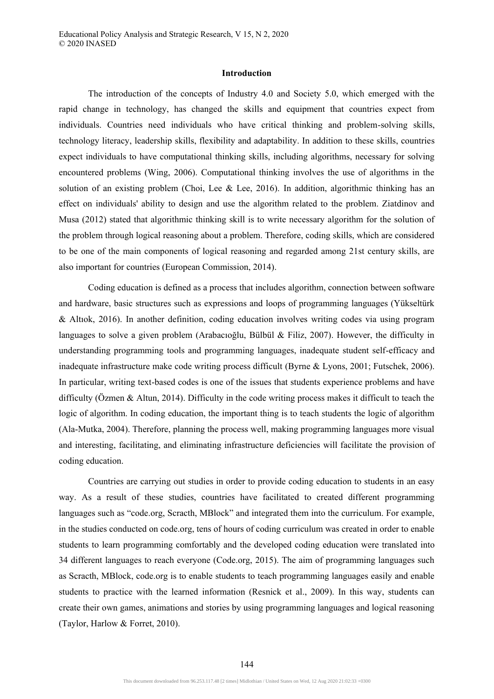# **Introduction**

The introduction of the concepts of Industry 4.0 and Society 5.0, which emerged with the rapid change in technology, has changed the skills and equipment that countries expect from individuals. Countries need individuals who have critical thinking and problem-solving skills, technology literacy, leadership skills, flexibility and adaptability. In addition to these skills, countries expect individuals to have computational thinking skills, including algorithms, necessary for solving encountered problems (Wing, 2006). Computational thinking involves the use of algorithms in the solution of an existing problem (Choi, Lee & Lee, 2016). In addition, algorithmic thinking has an effect on individuals' ability to design and use the algorithm related to the problem. Ziatdinov and Musa (2012) stated that algorithmic thinking skill is to write necessary algorithm for the solution of the problem through logical reasoning about a problem. Therefore, coding skills, which are considered to be one of the main components of logical reasoning and regarded among 21st century skills, are also important for countries (European Commission, 2014).

Coding education is defined as a process that includes algorithm, connection between software and hardware, basic structures such as expressions and loops of programming languages (Yükseltürk & Altıok, 2016). In another definition, coding education involves writing codes via using program languages to solve a given problem (Arabacıoğlu, Bülbül & Filiz, 2007). However, the difficulty in understanding programming tools and programming languages, inadequate student self-efficacy and inadequate infrastructure make code writing process difficult (Byrne & Lyons, 2001; Futschek, 2006). In particular, writing text-based codes is one of the issues that students experience problems and have difficulty (Özmen & Altun, 2014). Difficulty in the code writing process makes it difficult to teach the logic of algorithm. In coding education, the important thing is to teach students the logic of algorithm (Ala-Mutka, 2004). Therefore, planning the process well, making programming languages more visual and interesting, facilitating, and eliminating infrastructure deficiencies will facilitate the provision of coding education.

Countries are carrying out studies in order to provide coding education to students in an easy way. As a result of these studies, countries have facilitated to created different programming languages such as "code.org, Scracth, MBlock" and integrated them into the curriculum. For example, in the studies conducted on code.org, tens of hours of coding curriculum was created in order to enable students to learn programming comfortably and the developed coding education were translated into 34 different languages to reach everyone (Code.org, 2015). The aim of programming languages such as Scracth, MBlock, code.org is to enable students to teach programming languages easily and enable students to practice with the learned information (Resnick et al., 2009). In this way, students can create their own games, animations and stories by using programming languages and logical reasoning (Taylor, Harlow & Forret, 2010).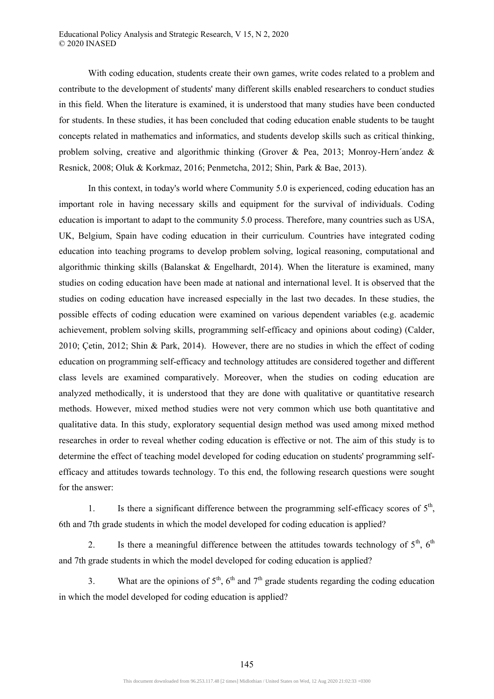With coding education, students create their own games, write codes related to a problem and contribute to the development of students' many different skills enabled researchers to conduct studies in this field. When the literature is examined, it is understood that many studies have been conducted for students. In these studies, it has been concluded that coding education enable students to be taught concepts related in mathematics and informatics, and students develop skills such as critical thinking, problem solving, creative and algorithmic thinking (Grover & Pea, 2013; Monroy-Hern'andez & Resnick, 2008; Oluk & Korkmaz, 2016; Penmetcha, 2012; Shin, Park & Bae, 2013).

In this context, in today's world where Community 5.0 is experienced, coding education has an important role in having necessary skills and equipment for the survival of individuals. Coding education is important to adapt to the community 5.0 process. Therefore, many countries such as USA, UK, Belgium, Spain have coding education in their curriculum. Countries have integrated coding education into teaching programs to develop problem solving, logical reasoning, computational and algorithmic thinking skills (Balanskat & Engelhardt, 2014). When the literature is examined, many studies on coding education have been made at national and international level. It is observed that the studies on coding education have increased especially in the last two decades. In these studies, the possible effects of coding education were examined on various dependent variables (e.g. academic achievement, problem solving skills, programming self-efficacy and opinions about coding) (Calder, 2010; Çetin, 2012; Shin & Park, 2014). However, there are no studies in which the effect of coding education on programming self-efficacy and technology attitudes are considered together and different class levels are examined comparatively. Moreover, when the studies on coding education are analyzed methodically, it is understood that they are done with qualitative or quantitative research methods. However, mixed method studies were not very common which use both quantitative and qualitative data. In this study, exploratory sequential design method was used among mixed method researches in order to reveal whether coding education is effective or not. The aim of this study is to determine the effect of teaching model developed for coding education on students' programming selfefficacy and attitudes towards technology. To this end, the following research questions were sought for the answer:

1. Is there a significant difference between the programming self-efficacy scores of  $5<sup>th</sup>$ , 6th and 7th grade students in which the model developed for coding education is applied?

2. Is there a meaningful difference between the attitudes towards technology of  $5<sup>th</sup>$ ,  $6<sup>th</sup>$ and 7th grade students in which the model developed for coding education is applied?

3. What are the opinions of  $5<sup>th</sup>$ ,  $6<sup>th</sup>$  and  $7<sup>th</sup>$  grade students regarding the coding education in which the model developed for coding education is applied?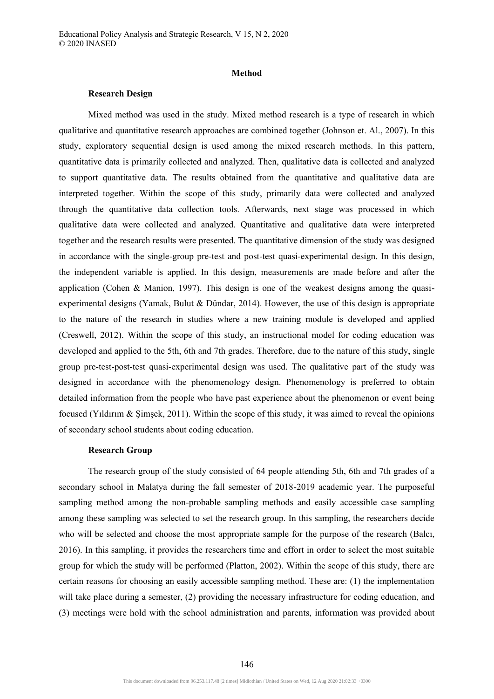#### **Method**

#### **Research Design**

Mixed method was used in the study. Mixed method research is a type of research in which qualitative and quantitative research approaches are combined together (Johnson et. Al., 2007). In this study, exploratory sequential design is used among the mixed research methods. In this pattern, quantitative data is primarily collected and analyzed. Then, qualitative data is collected and analyzed to support quantitative data. The results obtained from the quantitative and qualitative data are interpreted together. Within the scope of this study, primarily data were collected and analyzed through the quantitative data collection tools. Afterwards, next stage was processed in which qualitative data were collected and analyzed. Quantitative and qualitative data were interpreted together and the research results were presented. The quantitative dimension of the study was designed in accordance with the single-group pre-test and post-test quasi-experimental design. In this design, the independent variable is applied. In this design, measurements are made before and after the application (Cohen & Manion, 1997). This design is one of the weakest designs among the quasiexperimental designs (Yamak, Bulut & Dündar, 2014). However, the use of this design is appropriate to the nature of the research in studies where a new training module is developed and applied (Creswell, 2012). Within the scope of this study, an instructional model for coding education was developed and applied to the 5th, 6th and 7th grades. Therefore, due to the nature of this study, single group pre-test-post-test quasi-experimental design was used. The qualitative part of the study was designed in accordance with the phenomenology design. Phenomenology is preferred to obtain detailed information from the people who have past experience about the phenomenon or event being focused (Yıldırım & Şimşek, 2011). Within the scope of this study, it was aimed to reveal the opinions of secondary school students about coding education.

# **Research Group**

The research group of the study consisted of 64 people attending 5th, 6th and 7th grades of a secondary school in Malatya during the fall semester of 2018-2019 academic year. The purposeful sampling method among the non-probable sampling methods and easily accessible case sampling among these sampling was selected to set the research group. In this sampling, the researchers decide who will be selected and choose the most appropriate sample for the purpose of the research (Balcı, 2016). In this sampling, it provides the researchers time and effort in order to select the most suitable group for which the study will be performed (Platton, 2002). Within the scope of this study, there are certain reasons for choosing an easily accessible sampling method. These are: (1) the implementation will take place during a semester, (2) providing the necessary infrastructure for coding education, and (3) meetings were hold with the school administration and parents, information was provided about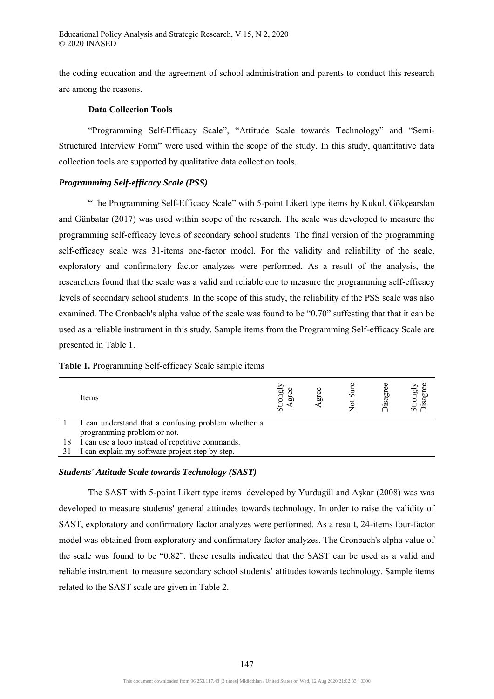the coding education and the agreement of school administration and parents to conduct this research are among the reasons.

# **Data Collection Tools**

"Programming Self-Efficacy Scale", "Attitude Scale towards Technology" and "Semi-Structured Interview Form" were used within the scope of the study. In this study, quantitative data collection tools are supported by qualitative data collection tools.

# *Programming Self-efficacy Scale (PSS)*

"The Programming Self-Efficacy Scale" with 5-point Likert type items by Kukul, Gökçearslan and Günbatar (2017) was used within scope of the research. The scale was developed to measure the programming self-efficacy levels of secondary school students. The final version of the programming self-efficacy scale was 31-items one-factor model. For the validity and reliability of the scale, exploratory and confirmatory factor analyzes were performed. As a result of the analysis, the researchers found that the scale was a valid and reliable one to measure the programming self-efficacy levels of secondary school students. In the scope of this study, the reliability of the PSS scale was also examined. The Cronbach's alpha value of the scale was found to be "0.70" suffesting that that it can be used as a reliable instrument in this study. Sample items from the Programming Self-efficacy Scale are presented in Table 1.

|    | Items                                               | Strongly<br>gю | gree | $S$ ਘਾ<br>ಕ | isagr | Strongly<br>Disagree |
|----|-----------------------------------------------------|----------------|------|-------------|-------|----------------------|
|    | I can understand that a confusing problem whether a |                |      |             |       |                      |
|    | programming problem or not.                         |                |      |             |       |                      |
| 18 | I can use a loop instead of repetitive commands.    |                |      |             |       |                      |
|    | I can explain my software project step by step.     |                |      |             |       |                      |

#### **Table 1.** Programming Self-efficacy Scale sample items

# *Students' Attitude Scale towards Technology (SAST)*

The SAST with 5-point Likert type items developed by Yurdugül and Aşkar (2008) was was developed to measure students' general attitudes towards technology. In order to raise the validity of SAST, exploratory and confirmatory factor analyzes were performed. As a result, 24-items four-factor model was obtained from exploratory and confirmatory factor analyzes. The Cronbach's alpha value of the scale was found to be "0.82". these results indicated that the SAST can be used as a valid and reliable instrument to measure secondary school students' attitudes towards technology. Sample items related to the SAST scale are given in Table 2.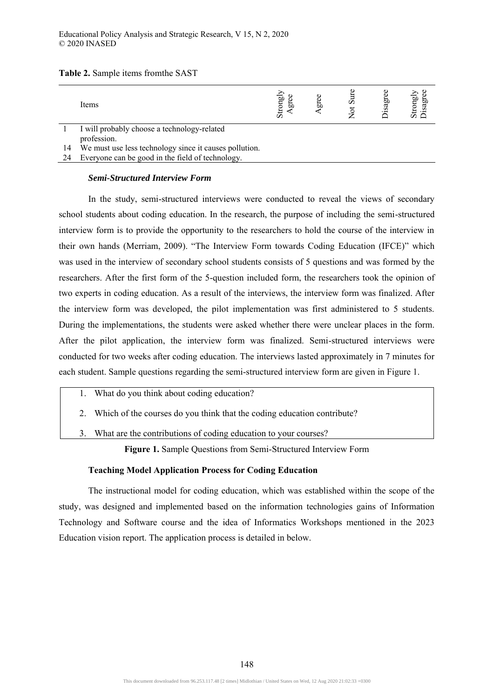| Table 2. Sample items from the SAST |  |  |  |  |
|-------------------------------------|--|--|--|--|
|-------------------------------------|--|--|--|--|

|    | Items                                                  | Strongly<br>E0 | ದ | ÚΩ<br>ಕ | ă<br>.sa | Strongly<br>Disagree<br>igi |
|----|--------------------------------------------------------|----------------|---|---------|----------|-----------------------------|
|    | I will probably choose a technology-related            |                |   |         |          |                             |
|    | profession.                                            |                |   |         |          |                             |
| 14 | We must use less technology since it causes pollution. |                |   |         |          |                             |

24 Everyone can be good in the field of technology.

# *Semi-Structured Interview Form*

In the study, semi-structured interviews were conducted to reveal the views of secondary school students about coding education. In the research, the purpose of including the semi-structured interview form is to provide the opportunity to the researchers to hold the course of the interview in their own hands (Merriam, 2009). "The Interview Form towards Coding Education (IFCE)" which was used in the interview of secondary school students consists of 5 questions and was formed by the researchers. After the first form of the 5-question included form, the researchers took the opinion of two experts in coding education. As a result of the interviews, the interview form was finalized. After the interview form was developed, the pilot implementation was first administered to 5 students. During the implementations, the students were asked whether there were unclear places in the form. After the pilot application, the interview form was finalized. Semi-structured interviews were conducted for two weeks after coding education. The interviews lasted approximately in 7 minutes for each student. Sample questions regarding the semi-structured interview form are given in Figure 1.

- 1. What do you think about coding education?
- 2. Which of the courses do you think that the coding education contribute?
- 3. What are the contributions of coding education to your courses?

**Figure 1.** Sample Questions from Semi-Structured Interview Form

#### **Teaching Model Application Process for Coding Education**

The instructional model for coding education, which was established within the scope of the study, was designed and implemented based on the information technologies gains of Information Technology and Software course and the idea of Informatics Workshops mentioned in the 2023 Education vision report. The application process is detailed in below.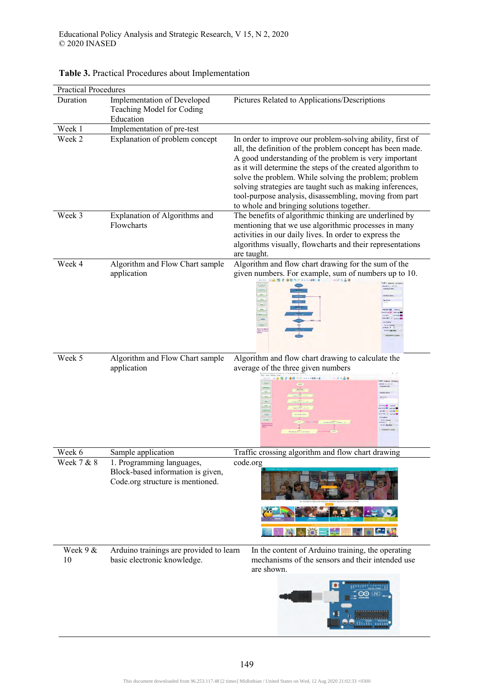| <b>Practical Procedures</b> |                                                              |                                                                                                     |
|-----------------------------|--------------------------------------------------------------|-----------------------------------------------------------------------------------------------------|
| Duration                    | Implementation of Developed                                  | Pictures Related to Applications/Descriptions                                                       |
|                             | Teaching Model for Coding                                    |                                                                                                     |
|                             | Education                                                    |                                                                                                     |
| Week 1<br>Week 2            | Implementation of pre-test<br>Explanation of problem concept | In order to improve our problem-solving ability, first of                                           |
|                             |                                                              | all, the definition of the problem concept has been made.                                           |
|                             |                                                              | A good understanding of the problem is very important                                               |
|                             |                                                              | as it will determine the steps of the created algorithm to                                          |
|                             |                                                              | solve the problem. While solving the problem; problem                                               |
|                             |                                                              | solving strategies are taught such as making inferences,                                            |
|                             |                                                              | tool-purpose analysis, disassembling, moving from part                                              |
| Week 3                      | Explanation of Algorithms and                                | to whole and bringing solutions together.<br>The benefits of algorithmic thinking are underlined by |
|                             | Flowcharts                                                   | mentioning that we use algorithmic processes in many                                                |
|                             |                                                              | activities in our daily lives. In order to express the                                              |
|                             |                                                              | algorithms visually, flowcharts and their representations                                           |
|                             |                                                              | are taught.                                                                                         |
| Week 4                      | Algorithm and Flow Chart sample                              | Algorithm and flow chart drawing for the sum of the                                                 |
|                             | application                                                  | given numbers. For example, sum of numbers up to 10.                                                |
|                             |                                                              |                                                                                                     |
|                             |                                                              | œ.                                                                                                  |
|                             |                                                              |                                                                                                     |
|                             |                                                              |                                                                                                     |
|                             |                                                              |                                                                                                     |
|                             |                                                              |                                                                                                     |
| Week 5                      | Algorithm and Flow Chart sample                              | Algorithm and flow chart drawing to calculate the                                                   |
|                             | application                                                  | average of the three given numbers                                                                  |
|                             |                                                              |                                                                                                     |
|                             |                                                              |                                                                                                     |
|                             |                                                              |                                                                                                     |
|                             |                                                              |                                                                                                     |
|                             |                                                              | $\overline{\phantom{a}}$<br>teachailtean<br>Iodán Aif Tua<br>Anns                                   |
|                             |                                                              |                                                                                                     |
| Week 6                      | Sample application                                           | Traffic crossing algorithm and flow chart drawing                                                   |
| Week $7 \times 8$           | 1. Programming languages,                                    | code.org                                                                                            |
|                             | Block-based information is given,                            |                                                                                                     |
|                             | Code.org structure is mentioned.                             |                                                                                                     |
|                             |                                                              |                                                                                                     |
|                             |                                                              |                                                                                                     |
|                             |                                                              |                                                                                                     |
|                             |                                                              |                                                                                                     |
| Week $9 &$                  | Arduino trainings are provided to learn                      | In the content of Arduino training, the operating                                                   |
| 10                          | basic electronic knowledge.                                  | mechanisms of the sensors and their intended use                                                    |
|                             |                                                              | are shown.                                                                                          |
|                             |                                                              |                                                                                                     |
|                             |                                                              |                                                                                                     |
|                             |                                                              |                                                                                                     |
|                             |                                                              |                                                                                                     |
|                             |                                                              |                                                                                                     |

# **Table 3.** Practical Procedures about Implementation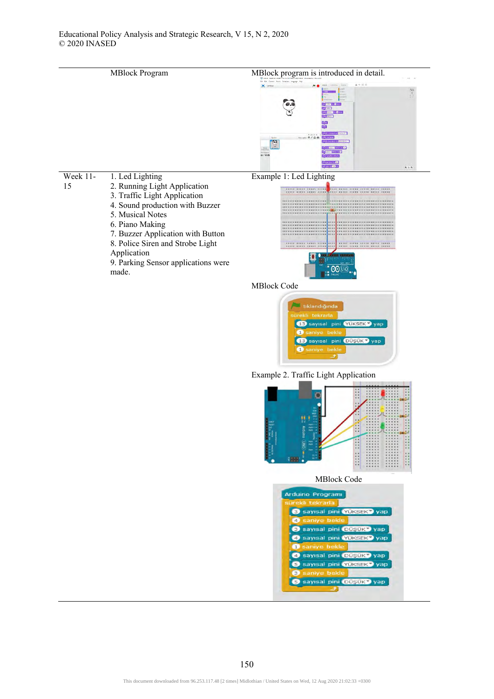









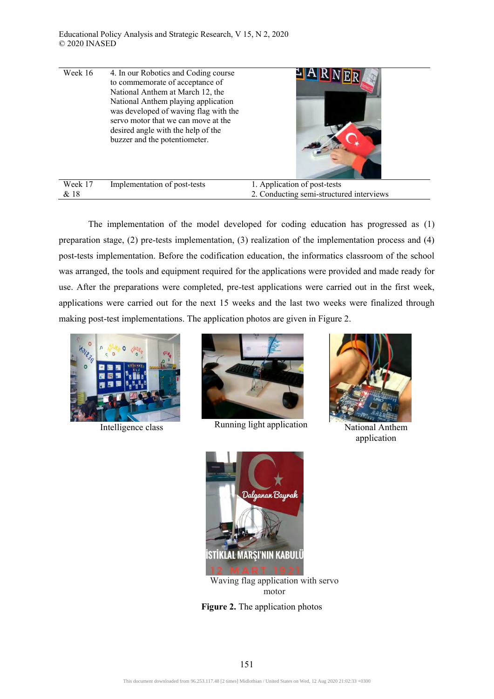| Week 16 | 4. In our Robotics and Coding course<br>to commemorate of acceptance of<br>National Anthem at March 12, the<br>National Anthem playing application<br>was developed of waving flag with the<br>servo motor that we can move at the<br>desired angle with the help of the<br>buzzer and the potentiometer. |                                          |
|---------|-----------------------------------------------------------------------------------------------------------------------------------------------------------------------------------------------------------------------------------------------------------------------------------------------------------|------------------------------------------|
| Week 17 | Implementation of post-tests                                                                                                                                                                                                                                                                              | 1. Application of post-tests             |
| & 18    |                                                                                                                                                                                                                                                                                                           | 2. Conducting semi-structured interviews |

The implementation of the model developed for coding education has progressed as (1) preparation stage, (2) pre-tests implementation, (3) realization of the implementation process and (4) post-tests implementation. Before the codification education, the informatics classroom of the school was arranged, the tools and equipment required for the applications were provided and made ready for use. After the preparations were completed, pre-test applications were carried out in the first week, applications were carried out for the next 15 weeks and the last two weeks were finalized through making post-test implementations. The application photos are given in Figure 2.





Intelligence class Running light application National Anthem



application



Waving flag application with servo motor

**Figure 2.** The application photos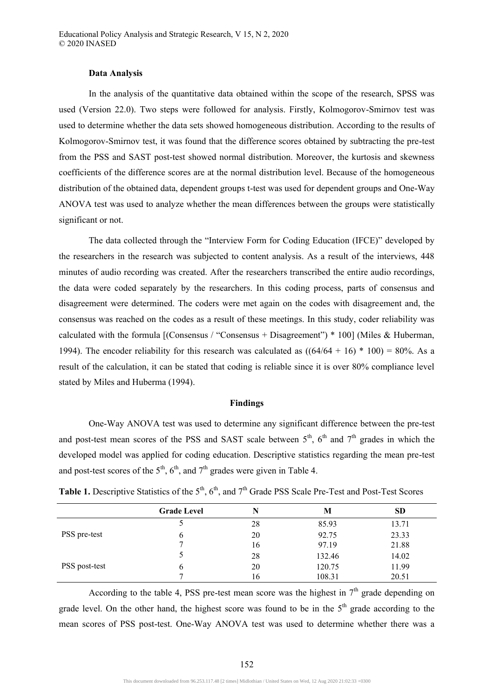## **Data Analysis**

In the analysis of the quantitative data obtained within the scope of the research, SPSS was used (Version 22.0). Two steps were followed for analysis. Firstly, Kolmogorov-Smirnov test was used to determine whether the data sets showed homogeneous distribution. According to the results of Kolmogorov-Smirnov test, it was found that the difference scores obtained by subtracting the pre-test from the PSS and SAST post-test showed normal distribution. Moreover, the kurtosis and skewness coefficients of the difference scores are at the normal distribution level. Because of the homogeneous distribution of the obtained data, dependent groups t-test was used for dependent groups and One-Way ANOVA test was used to analyze whether the mean differences between the groups were statistically significant or not.

The data collected through the "Interview Form for Coding Education (IFCE)" developed by the researchers in the research was subjected to content analysis. As a result of the interviews, 448 minutes of audio recording was created. After the researchers transcribed the entire audio recordings, the data were coded separately by the researchers. In this coding process, parts of consensus and disagreement were determined. The coders were met again on the codes with disagreement and, the consensus was reached on the codes as a result of these meetings. In this study, coder reliability was calculated with the formula  $\lceil$  (Consensus / "Consensus + Disagreement") \* 100 (Miles & Huberman, 1994). The encoder reliability for this research was calculated as  $((64/64 + 16) * 100) = 80\%$ . As a result of the calculation, it can be stated that coding is reliable since it is over 80% compliance level stated by Miles and Huberma (1994).

#### **Findings**

One-Way ANOVA test was used to determine any significant difference between the pre-test and post-test mean scores of the PSS and SAST scale between  $5<sup>th</sup>$ ,  $6<sup>th</sup>$  and  $7<sup>th</sup>$  grades in which the developed model was applied for coding education. Descriptive statistics regarding the mean pre-test and post-test scores of the  $5<sup>th</sup>$ ,  $6<sup>th</sup>$ , and  $7<sup>th</sup>$  grades were given in Table 4.

|               | <b>Grade Level</b> | N  | M      | <b>SD</b> |
|---------------|--------------------|----|--------|-----------|
|               |                    | 28 | 85.93  | 13.71     |
| PSS pre-test  | O                  | 20 | 92.75  | 23.33     |
|               |                    | 16 | 97.19  | 21.88     |
|               |                    | 28 | 132.46 | 14.02     |
| PSS post-test | O                  | 20 | 120.75 | 11.99     |
|               |                    | 16 | 108.31 | 20.51     |

**Table 1.** Descriptive Statistics of the  $5<sup>th</sup>$ ,  $6<sup>th</sup>$ , and  $7<sup>th</sup>$  Grade PSS Scale Pre-Test and Post-Test Scores

According to the table 4, PSS pre-test mean score was the highest in  $7<sup>th</sup>$  grade depending on grade level. On the other hand, the highest score was found to be in the  $5<sup>th</sup>$  grade according to the mean scores of PSS post-test. One-Way ANOVA test was used to determine whether there was a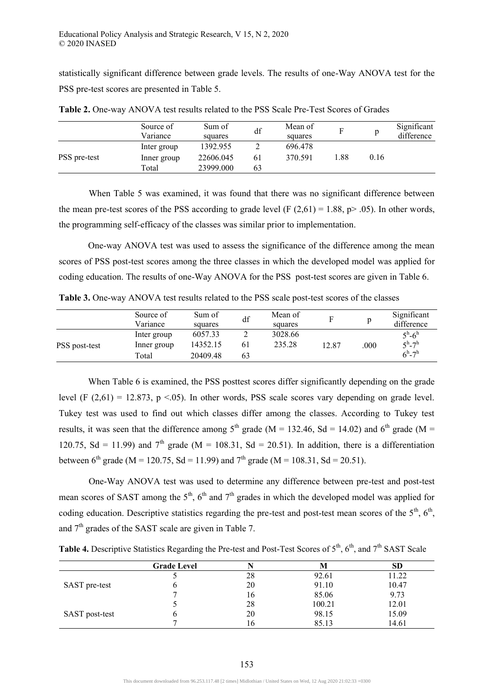statistically significant difference between grade levels. The results of one-Way ANOVA test for the PSS pre-test scores are presented in Table 5.

|              | Source of<br>Variance | Sum of<br>squares | df | Mean of<br>squares | F    |      | Significant<br>difference |
|--------------|-----------------------|-------------------|----|--------------------|------|------|---------------------------|
|              | Inter group           | 1392.955          |    | 696.478            |      |      |                           |
| PSS pre-test | Inner group           | 22606.045         | 61 | 370.591            | 1.88 | 0.16 |                           |
|              | Total                 | 23999.000         | 63 |                    |      |      |                           |

**Table 2.** One-way ANOVA test results related to the PSS Scale Pre-Test Scores of Grades

When Table 5 was examined, it was found that there was no significant difference between the mean pre-test scores of the PSS according to grade level (F  $(2,61) = 1.88$ , p> .05). In other words, the programming self-efficacy of the classes was similar prior to implementation.

One-way ANOVA test was used to assess the significance of the difference among the mean scores of PSS post-test scores among the three classes in which the developed model was applied for coding education. The results of one-Way ANOVA for the PSS post-test scores are given in Table 6.

**Table 3.** One-way ANOVA test results related to the PSS scale post-test scores of the classes

|               | Source of<br>Variance | Sum of<br>squares | df | Mean of<br>squares | E     |     | Significant<br>difference   |
|---------------|-----------------------|-------------------|----|--------------------|-------|-----|-----------------------------|
|               | Inter group           | 6057.33           | -  | 3028.66            |       |     | $5^{\rm h}$ -6 <sup>h</sup> |
| PSS post-test | Inner group           | 14352.15          | 61 | 235.28             | 12.87 | 000 | $5^{\rm h}$ -7 <sup>h</sup> |
|               | Total                 | 20409.48          | 63 |                    |       |     | $6^h - 7^h$                 |

When Table 6 is examined, the PSS posttest scores differ significantly depending on the grade level (F  $(2,61) = 12.873$ , p <.05). In other words, PSS scale scores vary depending on grade level. Tukey test was used to find out which classes differ among the classes. According to Tukey test results, it was seen that the difference among  $5<sup>th</sup>$  grade (M = 132.46, Sd = 14.02) and  $6<sup>th</sup>$  grade (M = 120.75, Sd = 11.99) and  $7<sup>th</sup>$  grade (M = 108.31, Sd = 20.51). In addition, there is a differentiation between 6<sup>th</sup> grade (M = 120.75, Sd = 11.99) and 7<sup>th</sup> grade (M = 108.31, Sd = 20.51).

One-Way ANOVA test was used to determine any difference between pre-test and post-test mean scores of SAST among the  $5<sup>th</sup>$ ,  $6<sup>th</sup>$  and  $7<sup>th</sup>$  grades in which the developed model was applied for coding education. Descriptive statistics regarding the pre-test and post-test mean scores of the  $5<sup>th</sup>$ ,  $6<sup>th</sup>$ , and  $7<sup>th</sup>$  grades of the SAST scale are given in Table 7.

**Table 4.** Descriptive Statistics Regarding the Pre-test and Post-Test Scores of 5<sup>th</sup>, 6<sup>th</sup>, and 7<sup>th</sup> SAST Scale

|                | <b>Grade Level</b> |    |        | SD    |
|----------------|--------------------|----|--------|-------|
|                |                    | 28 | 92.61  | 11.22 |
| SAST pre-test  |                    | 20 | 91.10  | 10.47 |
|                |                    | 16 | 85.06  | 9.73  |
|                |                    | 28 | 100.21 | 12.01 |
| SAST post-test |                    | 20 | 98.15  | 15.09 |
|                |                    | 16 | 85.13  | 14.61 |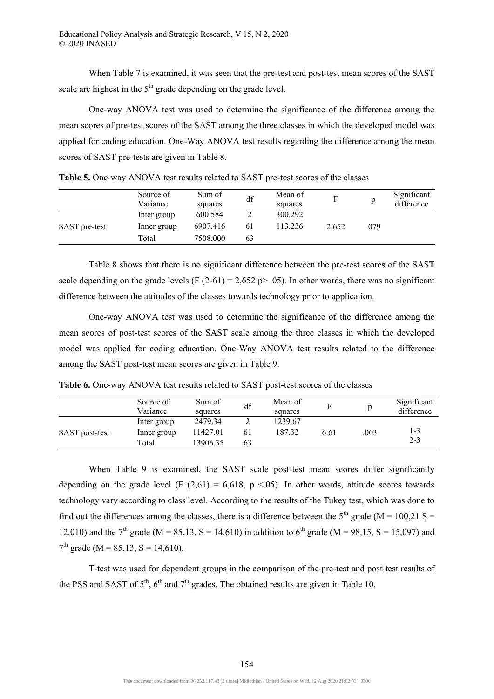When Table 7 is examined, it was seen that the pre-test and post-test mean scores of the SAST scale are highest in the  $5<sup>th</sup>$  grade depending on the grade level.

One-way ANOVA test was used to determine the significance of the difference among the mean scores of pre-test scores of the SAST among the three classes in which the developed model was applied for coding education. One-Way ANOVA test results regarding the difference among the mean scores of SAST pre-tests are given in Table 8.

|               | Source of<br>Variance | Sum of<br>squares | df | Mean of<br>squares |       |      | Significant<br>difference |
|---------------|-----------------------|-------------------|----|--------------------|-------|------|---------------------------|
|               | Inter group           | 600.584           |    | 300.292            |       |      |                           |
| SAST pre-test | Inner group           | 6907.416          | 61 | 113.236            | 2.652 | .079 |                           |
|               | Total                 | 7508.000          | 63 |                    |       |      |                           |

**Table 5.** One-way ANOVA test results related to SAST pre-test scores of the classes

Table 8 shows that there is no significant difference between the pre-test scores of the SAST scale depending on the grade levels (F  $(2-61) = 2,652$  p> .05). In other words, there was no significant difference between the attitudes of the classes towards technology prior to application.

One-way ANOVA test was used to determine the significance of the difference among the mean scores of post-test scores of the SAST scale among the three classes in which the developed model was applied for coding education. One-Way ANOVA test results related to the difference among the SAST post-test mean scores are given in Table 9.

**Table 6.** One-way ANOVA test results related to SAST post-test scores of the classes

|                | Source of<br>Variance | Sum of<br>squares | df | Mean of<br>squares |      |      | Significant<br>difference |
|----------------|-----------------------|-------------------|----|--------------------|------|------|---------------------------|
|                | Inter group           | 2479.34           |    | 1239.67            |      |      |                           |
| SAST post-test | Inner group           | 11427.01          | 61 | 187.32             | 6.61 | .003 | $1 - 3$                   |
|                | Total                 | 13906.35          | 63 |                    |      |      | $2 - 3$                   |

When Table 9 is examined, the SAST scale post-test mean scores differ significantly depending on the grade level (F  $(2,61) = 6,618$ , p <.05). In other words, attitude scores towards technology vary according to class level. According to the results of the Tukey test, which was done to find out the differences among the classes, there is a difference between the  $5<sup>th</sup>$  grade (M = 100.21 S = 12,010) and the 7<sup>th</sup> grade (M = 85,13, S = 14,610) in addition to 6<sup>th</sup> grade (M = 98,15, S = 15,097) and  $7<sup>th</sup>$  grade (M = 85,13, S = 14,610).

T-test was used for dependent groups in the comparison of the pre-test and post-test results of the PSS and SAST of  $5<sup>th</sup>$ ,  $6<sup>th</sup>$  and  $7<sup>th</sup>$  grades. The obtained results are given in Table 10.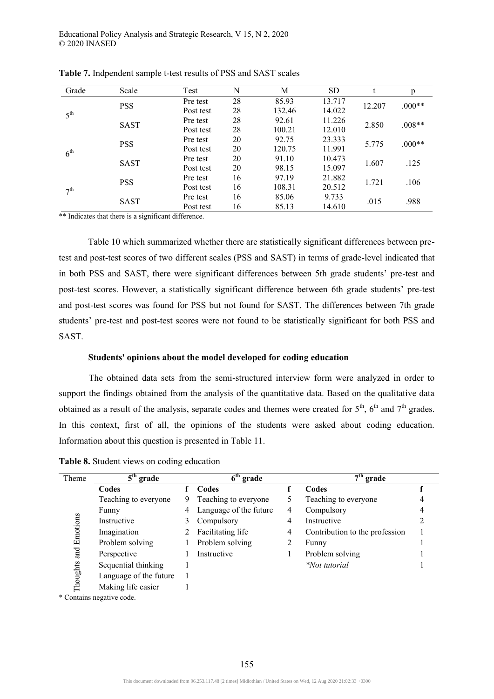| Grade           | Scale       | Test      | N  | M      | <b>SD</b> |        | p        |
|-----------------|-------------|-----------|----|--------|-----------|--------|----------|
|                 | <b>PSS</b>  | Pre test  | 28 | 85.93  | 13.717    | 12.207 | $.000**$ |
| 5 <sup>th</sup> |             | Post test | 28 | 132.46 | 14.022    |        |          |
|                 |             | Pre test  | 28 | 92.61  | 11.226    |        | $.008**$ |
|                 | <b>SAST</b> | Post test | 28 | 100.21 | 12.010    | 2.850  |          |
| $6^{\text{th}}$ |             | Pre test  | 20 | 92.75  | 23.333    |        | $.000**$ |
|                 | <b>PSS</b>  | Post test | 20 | 120.75 | 11.991    | 5.775  |          |
|                 |             | Pre test  | 20 | 91.10  | 10.473    | 1.607  | .125     |
|                 | <b>SAST</b> | Post test | 20 | 98.15  | 15.097    |        |          |
| 7 <sup>th</sup> | <b>PSS</b>  | Pre test  | 16 | 97.19  | 21.882    | 1.721  | .106     |
|                 |             | Post test | 16 | 108.31 | 20.512    |        |          |
|                 |             | Pre test  | 16 | 85.06  | 9.733     | .015   |          |
|                 | <b>SAST</b> | Post test | 16 | 85.13  | 14.610    |        | .988     |

**Table 7.** Indpendent sample t-test results of PSS and SAST scales

\*\* Indicates that there is a significant difference.

Table 10 which summarized whether there are statistically significant differences between pretest and post-test scores of two different scales (PSS and SAST) in terms of grade-level indicated that in both PSS and SAST, there were significant differences between 5th grade students' pre-test and post-test scores. However, a statistically significant difference between 6th grade students' pre-test and post-test scores was found for PSS but not found for SAST. The differences between 7th grade students' pre-test and post-test scores were not found to be statistically significant for both PSS and SAST.

#### **Students' opinions about the model developed for coding education**

The obtained data sets from the semi-structured interview form were analyzed in order to support the findings obtained from the analysis of the quantitative data. Based on the qualitative data obtained as a result of the analysis, separate codes and themes were created for  $5<sup>th</sup>$ ,  $6<sup>th</sup>$  and  $7<sup>th</sup>$  grades. In this context, first of all, the opinions of the students were asked about coding education. Information about this question is presented in Table 11.

**Table 8.** Student views on coding education

| Theme    | $5th$ grade            | $\overline{6}^{\text{th}}$ grade |                        |   | $7th$ grade                    |  |  |
|----------|------------------------|----------------------------------|------------------------|---|--------------------------------|--|--|
|          | Codes                  |                                  | Codes                  |   | Codes                          |  |  |
|          | Teaching to everyone   | 9                                | Teaching to everyone   |   | Teaching to everyone           |  |  |
|          | Funny                  |                                  | Language of the future | 4 | Compulsory                     |  |  |
|          | Instructive            | 3                                | Compulsory             | 4 | Instructive                    |  |  |
| Emotions | Imagination            |                                  | Facilitating life      | 4 | Contribution to the profession |  |  |
|          | Problem solving        |                                  | Problem solving        |   | Funny                          |  |  |
| and      | Perspective            |                                  | Instructive            |   | Problem solving                |  |  |
| Thoughts | Sequential thinking    |                                  |                        |   | <i>*Not tutorial</i>           |  |  |
|          | Language of the future |                                  |                        |   |                                |  |  |
|          | Making life easier     |                                  |                        |   |                                |  |  |

\* Contains negative code.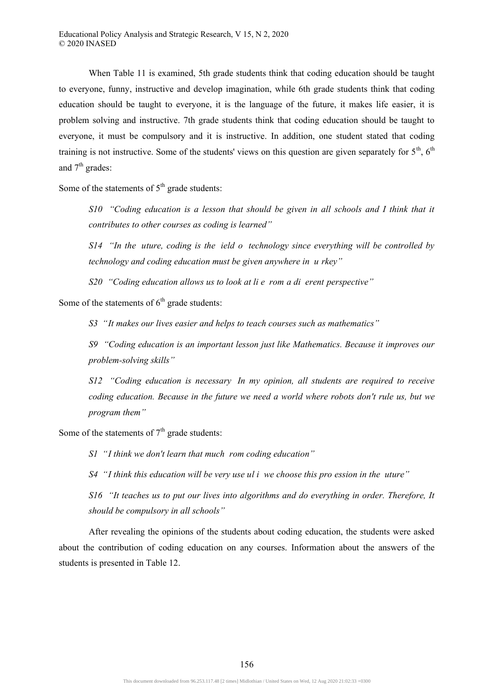When Table 11 is examined, 5th grade students think that coding education should be taught to everyone, funny, instructive and develop imagination, while 6th grade students think that coding education should be taught to everyone, it is the language of the future, it makes life easier, it is problem solving and instructive. 7th grade students think that coding education should be taught to everyone, it must be compulsory and it is instructive. In addition, one student stated that coding training is not instructive. Some of the students' views on this question are given separately for  $5<sup>th</sup>$ ,  $6<sup>th</sup>$ and  $7<sup>th</sup>$  grades:

Some of the statements of  $5<sup>th</sup>$  grade students:

*S10 "Coding education is a lesson that should be given in all schools and I think that it contributes to other courses as coding is learned"* 

*S14 "In the uture, coding is the ield o technology since everything will be controlled by technology and coding education must be given anywhere in u rkey"* 

*S20 "Coding education allows us to look at li e rom a di erent perspective"* 

Some of the statements of  $6<sup>th</sup>$  grade students:

*S3 "It makes our lives easier and helps to teach courses such as mathematics"* 

*S9 "Coding education is an important lesson just like Mathematics. Because it improves our problem-solving skills"* 

*S12 "Coding education is necessary In my opinion, all students are required to receive coding education. Because in the future we need a world where robots don't rule us, but we program them"* 

Some of the statements of  $7<sup>th</sup>$  grade students:

*S1 "I think we don't learn that much rom coding education"* 

*S4 "I think this education will be very use ul i we choose this pro ession in the uture"* 

*S16 "It teaches us to put our lives into algorithms and do everything in order. Therefore, It should be compulsory in all schools"* 

After revealing the opinions of the students about coding education, the students were asked about the contribution of coding education on any courses. Information about the answers of the students is presented in Table 12.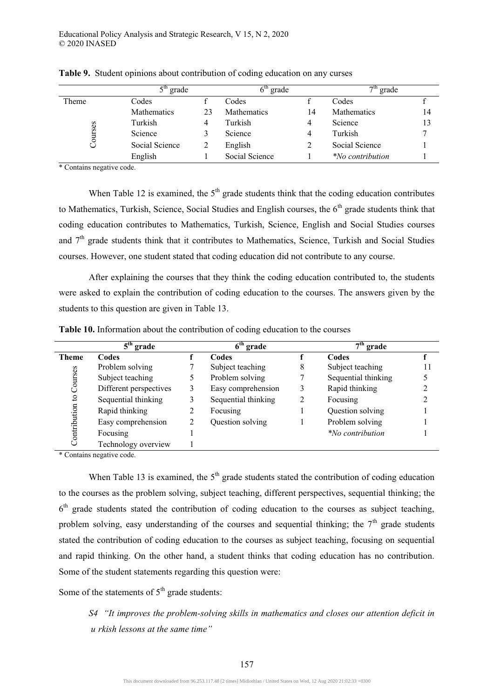|         | $5^{\text{th}}$<br><sup>1</sup> grade |    | $6^{\text{tn}}$<br>grade |    | $7th$ grade             |    |
|---------|---------------------------------------|----|--------------------------|----|-------------------------|----|
| Theme   | Codes                                 |    | Codes                    |    | Codes                   |    |
|         | <b>Mathematics</b>                    | 23 | <b>Mathematics</b>       | 14 | <b>Mathematics</b>      | 14 |
|         | Turkish                               | 4  | Turkish                  | 4  | Science                 | 13 |
| Courses | Science                               |    | Science                  | 4  | Turkish                 |    |
|         | Social Science                        |    | English                  |    | Social Science          |    |
|         | English                               |    | Social Science           |    | <i>*No contribution</i> |    |

**Table 9.** Student opinions about contribution of coding education on any curses

\* Contains negative code.

When Table 12 is examined, the  $5<sup>th</sup>$  grade students think that the coding education contributes to Mathematics, Turkish, Science, Social Studies and English courses, the  $6<sup>th</sup>$  grade students think that coding education contributes to Mathematics, Turkish, Science, English and Social Studies courses and  $7<sup>th</sup>$  grade students think that it contributes to Mathematics, Science, Turkish and Social Studies courses. However, one student stated that coding education did not contribute to any course.

After explaining the courses that they think the coding education contributed to, the students were asked to explain the contribution of coding education to the courses. The answers given by the students to this question are given in Table 13.

|              | $5th$ grade            |   | $6th$ grade         |   | $7th$ grade            |  |
|--------------|------------------------|---|---------------------|---|------------------------|--|
| <b>Theme</b> | Codes                  |   | Codes               |   | Codes                  |  |
|              | Problem solving        |   | Subject teaching    | 8 | Subject teaching       |  |
|              | Subject teaching       |   | Problem solving     |   | Sequential thinking    |  |
| Courses      | Different perspectives | 3 | Easy comprehension  | 3 | Rapid thinking         |  |
| $\mathbf{c}$ | Sequential thinking    | 3 | Sequential thinking | 2 | Focusing               |  |
|              | Rapid thinking         | 2 | Focusing            |   | Question solving       |  |
|              | Easy comprehension     | 2 | Question solving    |   | Problem solving        |  |
| Contribution | Focusing               |   |                     |   | <i>No contribution</i> |  |
|              | Technology overview    |   |                     |   |                        |  |

**Table 10.** Information about the contribution of coding education to the courses

\* Contains negative code.

When Table 13 is examined, the  $5<sup>th</sup>$  grade students stated the contribution of coding education to the courses as the problem solving, subject teaching, different perspectives, sequential thinking; the 6<sup>th</sup> grade students stated the contribution of coding education to the courses as subject teaching, problem solving, easy understanding of the courses and sequential thinking; the  $7<sup>th</sup>$  grade students stated the contribution of coding education to the courses as subject teaching, focusing on sequential and rapid thinking. On the other hand, a student thinks that coding education has no contribution. Some of the student statements regarding this question were:

Some of the statements of  $5<sup>th</sup>$  grade students:

*S4 "It improves the problem-solving skills in mathematics and closes our attention deficit in u rkish lessons at the same time"*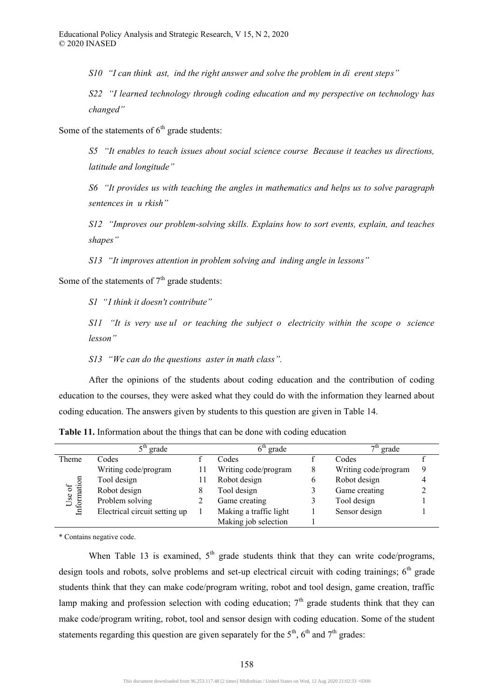*S10 "I can think ast, ind the right answer and solve the problem in di erent steps"* 

*S22 "I learned technology through coding education and my perspective on technology has changed"* 

Some of the statements of  $6<sup>th</sup>$  grade students:

*S5 "It enables to teach issues about social science course Because it teaches us directions, latitude and longitude"* 

*S6 "It provides us with teaching the angles in mathematics and helps us to solve paragraph sentences in u rkish"* 

*S12 "Improves our problem-solving skills. Explains how to sort events, explain, and teaches shapes"* 

*S13 "It improves attention in problem solving and inding angle in lessons"* 

Some of the statements of  $7<sup>th</sup>$  grade students:

*S1 "I think it doesn't contribute"* 

*S11 "It is very use ul or teaching the subject o electricity within the scope o science lesson"* 

*S13 "We can do the questions aster in math class".* 

After the opinions of the students about coding education and the contribution of coding education to the courses, they were asked what they could do with the information they learned about coding education. The answers given by students to this question are given in Table 14.

|                       | grade                         |   | 6 <sup>th</sup><br>grade |   | $7th$ grade          |   |
|-----------------------|-------------------------------|---|--------------------------|---|----------------------|---|
| Theme                 | Codes                         |   | Codes                    |   | Codes                |   |
|                       | Writing code/program          | Н | Writing code/program     | 8 | Writing code/program | 9 |
| Use of<br>Information | Tool design                   |   | Robot design             | b | Robot design         |   |
|                       | Robot design                  | 8 | Tool design              |   | Game creating        |   |
|                       | Problem solving               |   | Game creating            |   | Tool design          |   |
|                       | Electrical circuit setting up |   | Making a traffic light   |   | Sensor design        |   |
|                       |                               |   | Making job selection     |   |                      |   |

**Table 11.** Information about the things that can be done with coding education

\* Contains negative code.

When Table 13 is examined,  $5<sup>th</sup>$  grade students think that they can write code/programs, design tools and robots, solve problems and set-up electrical circuit with coding trainings;  $6<sup>th</sup>$  grade students think that they can make code/program writing, robot and tool design, game creation, traffic lamp making and profession selection with coding education;  $7<sup>th</sup>$  grade students think that they can make code/program writing, robot, tool and sensor design with coding education. Some of the student statements regarding this question are given separately for the  $5<sup>th</sup>$ ,  $6<sup>th</sup>$  and  $7<sup>th</sup>$  grades: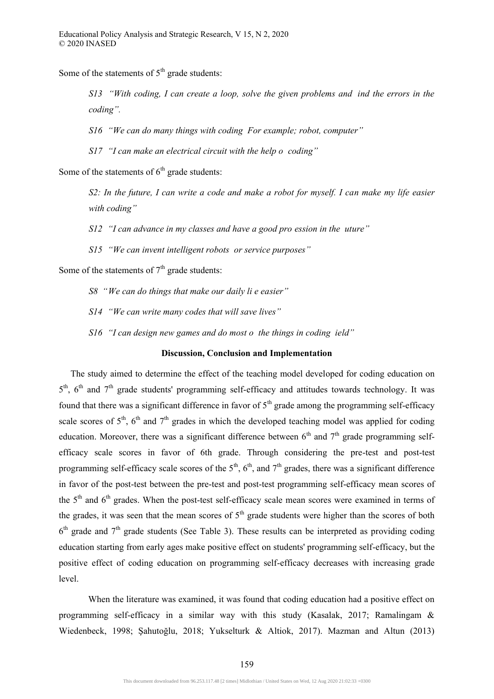Some of the statements of  $5<sup>th</sup>$  grade students:

*S13 "With coding, I can create a loop, solve the given problems and ind the errors in the coding".* 

*S16 "We can do many things with coding For example; robot, computer"* 

*S17 "I can make an electrical circuit with the help o coding"* 

Some of the statements of  $6<sup>th</sup>$  grade students:

*S2: In the future, I can write a code and make a robot for myself. I can make my life easier with coding"* 

*S12 "I can advance in my classes and have a good pro ession in the uture"* 

*S15 "We can invent intelligent robots or service purposes"* 

Some of the statements of  $7<sup>th</sup>$  grade students:

*S8 "We can do things that make our daily li e easier"* 

*S14 "We can write many codes that will save lives"* 

*S16 "I can design new games and do most o the things in coding ield"* 

# **Discussion, Conclusion and Implementation**

The study aimed to determine the effect of the teaching model developed for coding education on  $5<sup>th</sup>$ ,  $6<sup>th</sup>$  and  $7<sup>th</sup>$  grade students' programming self-efficacy and attitudes towards technology. It was found that there was a significant difference in favor of  $5<sup>th</sup>$  grade among the programming self-efficacy scale scores of  $5<sup>th</sup>$ ,  $6<sup>th</sup>$  and  $7<sup>th</sup>$  grades in which the developed teaching model was applied for coding education. Moreover, there was a significant difference between  $6<sup>th</sup>$  and  $7<sup>th</sup>$  grade programming selfefficacy scale scores in favor of 6th grade. Through considering the pre-test and post-test programming self-efficacy scale scores of the  $5<sup>th</sup>$ ,  $6<sup>th</sup>$ , and  $7<sup>th</sup>$  grades, there was a significant difference in favor of the post-test between the pre-test and post-test programming self-efficacy mean scores of the  $5<sup>th</sup>$  and  $6<sup>th</sup>$  grades. When the post-test self-efficacy scale mean scores were examined in terms of the grades, it was seen that the mean scores of  $5<sup>th</sup>$  grade students were higher than the scores of both  $6<sup>th</sup>$  grade and  $7<sup>th</sup>$  grade students (See Table 3). These results can be interpreted as providing coding education starting from early ages make positive effect on students' programming self-efficacy, but the positive effect of coding education on programming self-efficacy decreases with increasing grade level.

When the literature was examined, it was found that coding education had a positive effect on programming self-efficacy in a similar way with this study (Kasalak, 2017; Ramalingam & Wiedenbeck, 1998; Şahutoğlu, 2018; Yukselturk & Altiok, 2017). Mazman and Altun (2013)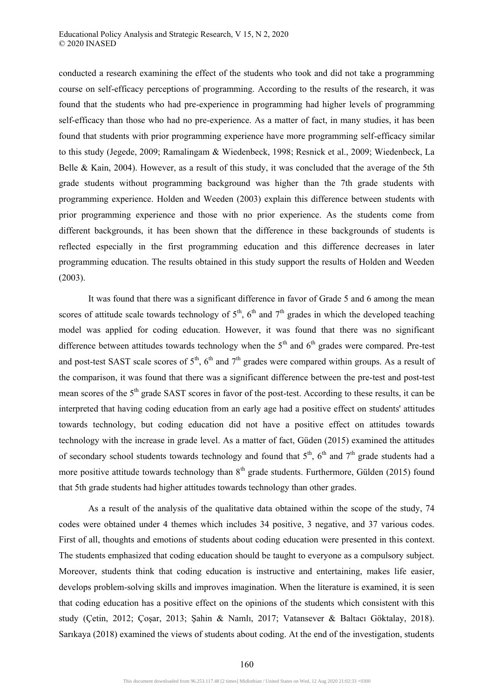conducted a research examining the effect of the students who took and did not take a programming course on self-efficacy perceptions of programming. According to the results of the research, it was found that the students who had pre-experience in programming had higher levels of programming self-efficacy than those who had no pre-experience. As a matter of fact, in many studies, it has been found that students with prior programming experience have more programming self-efficacy similar to this study (Jegede, 2009; Ramalingam & Wiedenbeck, 1998; Resnick et al., 2009; Wiedenbeck, La Belle & Kain, 2004). However, as a result of this study, it was concluded that the average of the 5th grade students without programming background was higher than the 7th grade students with programming experience. Holden and Weeden (2003) explain this difference between students with prior programming experience and those with no prior experience. As the students come from different backgrounds, it has been shown that the difference in these backgrounds of students is reflected especially in the first programming education and this difference decreases in later programming education. The results obtained in this study support the results of Holden and Weeden (2003).

It was found that there was a significant difference in favor of Grade 5 and 6 among the mean scores of attitude scale towards technology of  $5<sup>th</sup>$ ,  $6<sup>th</sup>$  and  $7<sup>th</sup>$  grades in which the developed teaching model was applied for coding education. However, it was found that there was no significant difference between attitudes towards technology when the  $5<sup>th</sup>$  and  $6<sup>th</sup>$  grades were compared. Pre-test and post-test SAST scale scores of  $5<sup>th</sup>$ ,  $6<sup>th</sup>$  and  $7<sup>th</sup>$  grades were compared within groups. As a result of the comparison, it was found that there was a significant difference between the pre-test and post-test mean scores of the 5<sup>th</sup> grade SAST scores in favor of the post-test. According to these results, it can be interpreted that having coding education from an early age had a positive effect on students' attitudes towards technology, but coding education did not have a positive effect on attitudes towards technology with the increase in grade level. As a matter of fact, Güden (2015) examined the attitudes of secondary school students towards technology and found that  $5<sup>th</sup>$ ,  $6<sup>th</sup>$  and  $7<sup>th</sup>$  grade students had a more positive attitude towards technology than  $8<sup>th</sup>$  grade students. Furthermore, Gülden (2015) found that 5th grade students had higher attitudes towards technology than other grades.

As a result of the analysis of the qualitative data obtained within the scope of the study, 74 codes were obtained under 4 themes which includes 34 positive, 3 negative, and 37 various codes. First of all, thoughts and emotions of students about coding education were presented in this context. The students emphasized that coding education should be taught to everyone as a compulsory subject. Moreover, students think that coding education is instructive and entertaining, makes life easier, develops problem-solving skills and improves imagination. When the literature is examined, it is seen that coding education has a positive effect on the opinions of the students which consistent with this study (Çetin, 2012; Çoşar, 2013; Şahin & Namlı, 2017; Vatansever & Baltacı Göktalay, 2018). Sarıkaya (2018) examined the views of students about coding. At the end of the investigation, students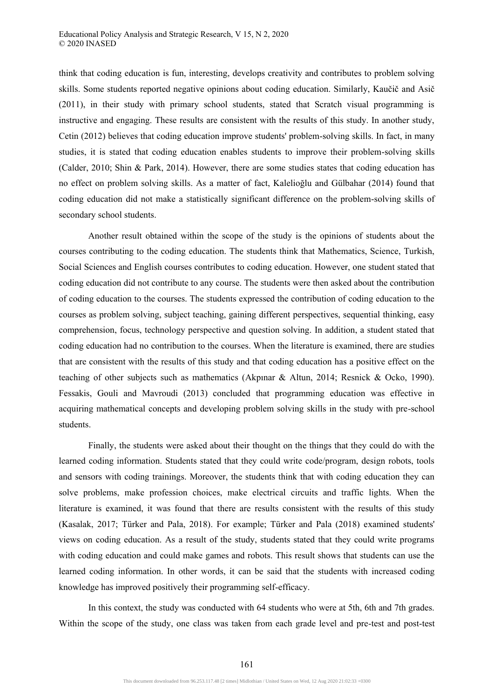think that coding education is fun, interesting, develops creativity and contributes to problem solving skills. Some students reported negative opinions about coding education. Similarly, Kaučič and Asič (2011), in their study with primary school students, stated that Scratch visual programming is instructive and engaging. These results are consistent with the results of this study. In another study, Cetin (2012) believes that coding education improve students' problem-solving skills. In fact, in many studies, it is stated that coding education enables students to improve their problem-solving skills (Calder, 2010; Shin & Park, 2014). However, there are some studies states that coding education has no effect on problem solving skills. As a matter of fact, Kalelioğlu and Gülbahar (2014) found that coding education did not make a statistically significant difference on the problem-solving skills of secondary school students.

Another result obtained within the scope of the study is the opinions of students about the courses contributing to the coding education. The students think that Mathematics, Science, Turkish, Social Sciences and English courses contributes to coding education. However, one student stated that coding education did not contribute to any course. The students were then asked about the contribution of coding education to the courses. The students expressed the contribution of coding education to the courses as problem solving, subject teaching, gaining different perspectives, sequential thinking, easy comprehension, focus, technology perspective and question solving. In addition, a student stated that coding education had no contribution to the courses. When the literature is examined, there are studies that are consistent with the results of this study and that coding education has a positive effect on the teaching of other subjects such as mathematics (Akpınar & Altun, 2014; Resnick & Ocko, 1990). Fessakis, Gouli and Mavroudi (2013) concluded that programming education was effective in acquiring mathematical concepts and developing problem solving skills in the study with pre-school students.

Finally, the students were asked about their thought on the things that they could do with the learned coding information. Students stated that they could write code/program, design robots, tools and sensors with coding trainings. Moreover, the students think that with coding education they can solve problems, make profession choices, make electrical circuits and traffic lights. When the literature is examined, it was found that there are results consistent with the results of this study (Kasalak, 2017; Türker and Pala, 2018). For example; Türker and Pala (2018) examined students' views on coding education. As a result of the study, students stated that they could write programs with coding education and could make games and robots. This result shows that students can use the learned coding information. In other words, it can be said that the students with increased coding knowledge has improved positively their programming self-efficacy.

In this context, the study was conducted with 64 students who were at 5th, 6th and 7th grades. Within the scope of the study, one class was taken from each grade level and pre-test and post-test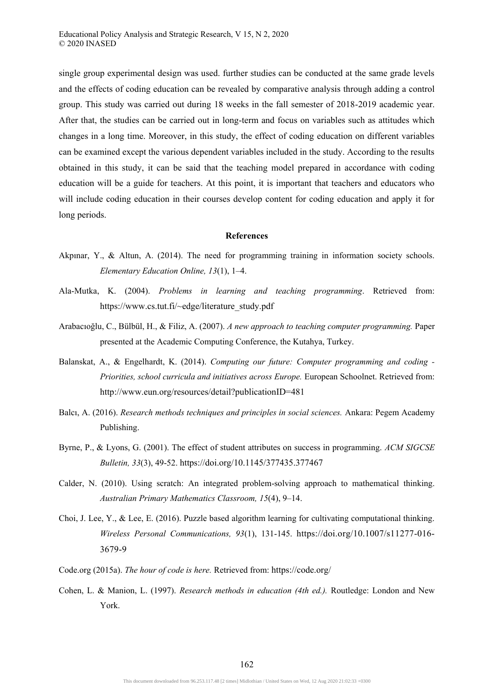single group experimental design was used. further studies can be conducted at the same grade levels and the effects of coding education can be revealed by comparative analysis through adding a control group. This study was carried out during 18 weeks in the fall semester of 2018-2019 academic year. After that, the studies can be carried out in long-term and focus on variables such as attitudes which changes in a long time. Moreover, in this study, the effect of coding education on different variables can be examined except the various dependent variables included in the study. According to the results obtained in this study, it can be said that the teaching model prepared in accordance with coding education will be a guide for teachers. At this point, it is important that teachers and educators who will include coding education in their courses develop content for coding education and apply it for long periods.

#### **References**

- Akpınar, Y., & Altun, A. (2014). The need for programming training in information society schools. *Elementary Education Online, 13*(1), 1–4.
- Ala-Mutka, K. (2004). *Problems in learning and teaching programming*. Retrieved from: https://www.cs.tut.fi/~edge/literature\_study.pdf
- Arabacıoğlu, C., Bülbül, H., & Filiz, A. (2007). *A new approach to teaching computer programming.* Paper presented at the Academic Computing Conference, the Kutahya, Turkey.
- Balanskat, A., & Engelhardt, K. (2014). *Computing our future: Computer programming and coding Priorities, school curricula and initiatives across Europe.* European Schoolnet. Retrieved from: http://www.eun.org/resources/detail?publicationID=481
- Balcı, A. (2016). *Research methods techniques and principles in social sciences.* Ankara: Pegem Academy Publishing.
- Byrne, P., & Lyons, G. (2001). The effect of student attributes on success in programming. *ACM SIGCSE Bulletin, 33*(3), 49-52. https://doi.org/10.1145/377435.377467
- Calder, N. (2010). Using scratch: An integrated problem-solving approach to mathematical thinking. *Australian Primary Mathematics Classroom, 15*(4), 9–14.
- Choi, J. Lee, Y., & Lee, E. (2016). Puzzle based algorithm learning for cultivating computational thinking. *Wireless Personal Communications, 93*(1), 131-145. https://doi.org/10.1007/s11277-016- 3679-9
- Code.org (2015a). *The hour of code is here.* Retrieved from: https://code.org/
- Cohen, L. & Manion, L. (1997). *Research methods in education (4th ed.).* Routledge: London and New York.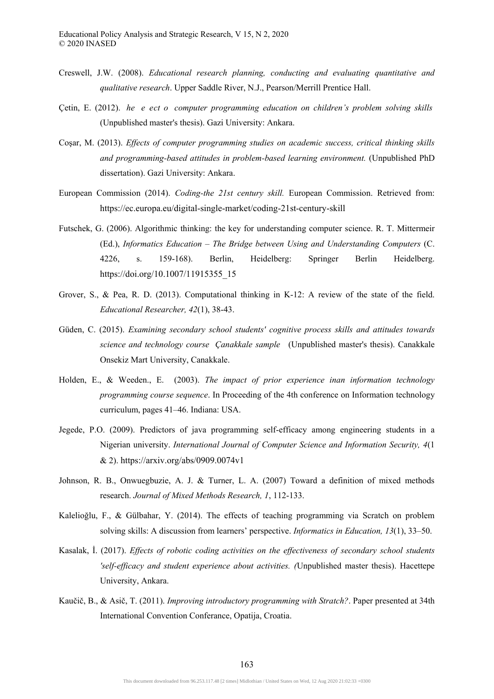- Creswell, J.W. (2008). *Educational research planning, conducting and evaluating quantitative and qualitative research*. Upper Saddle River, N.J., Pearson/Merrill Prentice Hall.
- Çetin, E. (2012). *he e ect o computer programming education on children's problem solving skills*  (Unpublished master's thesis). Gazi University: Ankara.
- Coşar, M. (2013). *Effects of computer programming studies on academic success, critical thinking skills and programming-based attitudes in problem-based learning environment.* (Unpublished PhD dissertation). Gazi University: Ankara.
- European Commission (2014). *Coding-the 21st century skill.* European Commission. Retrieved from: https://ec.europa.eu/digital-single-market/coding-21st-century-skill
- Futschek, G. (2006). Algorithmic thinking: the key for understanding computer science. R. T. Mittermeir (Ed.), *Informatics Education – The Bridge between Using and Understanding Computers* (C. 4226, s. 159-168). Berlin, Heidelberg: Springer Berlin Heidelberg. https://doi.org/10.1007/11915355\_15
- Grover, S., & Pea, R. D. (2013). Computational thinking in K-12: A review of the state of the field. *Educational Researcher, 42*(1), 38-43.
- Güden, C. (2015). *Examining secondary school students' cognitive process skills and attitudes towards science and technology course Çanakkale sample* (Unpublished master's thesis). Canakkale Onsekiz Mart University, Canakkale.
- Holden, E., & Weeden., E. (2003). *The impact of prior experience inan information technology programming course sequence*. In Proceeding of the 4th conference on Information technology curriculum, pages 41–46. Indiana: USA.
- Jegede, P.O. (2009). Predictors of java programming self-efficacy among engineering students in a Nigerian university. *International Journal of Computer Science and Information Security, 4*(1 & 2). https://arxiv.org/abs/0909.0074v1
- Johnson, R. B., Onwuegbuzie, A. J. & Turner, L. A. (2007) Toward a definition of mixed methods research. *Journal of Mixed Methods Research, 1*, 112-133.
- Kalelioğlu, F., & Gülbahar, Y. (2014). The effects of teaching programming via Scratch on problem solving skills: A discussion from learners' perspective. *Informatics in Education, 13*(1), 33–50.
- Kasalak, İ. (2017). *Effects of robotic coding activities on the effectiveness of secondary school students 'self-efficacy and student experience about activities. (*Unpublished master thesis). Hacettepe University, Ankara.
- Kaučič, B., & Asič, T. (2011). *Improving introductory programming with Stratch?*. Paper presented at 34th International Convention Conferance, Opatija, Croatia.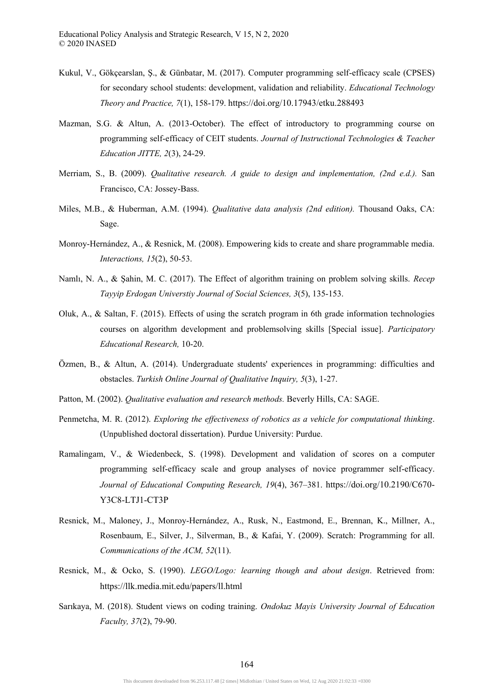- Kukul, V., Gökçearslan, Ş., & Günbatar, M. (2017). Computer programming self-efficacy scale (CPSES) for secondary school students: development, validation and reliability. *Educational Technology Theory and Practice, 7*(1), 158-179. https://doi.org/10.17943/etku.288493
- Mazman, S.G. & Altun, A. (2013-October). The effect of introductory to programming course on programming self-efficacy of CEIT students. *Journal of Instructional Technologies & Teacher Education JITTE, 2*(3), 24-29.
- Merriam, S., B. (2009). *Qualitative research. A guide to design and implementation, (2nd e.d.).* San Francisco, CA: Jossey-Bass.
- Miles, M.B., & Huberman, A.M. (1994). *Qualitative data analysis (2nd edition).* Thousand Oaks, CA: Sage.
- Monroy-Hernández, A., & Resnick, M. (2008). Empowering kids to create and share programmable media. *Interactions, 15*(2), 50-53.
- Namlı, N. A., & Şahin, M. C. (2017). The Effect of algorithm training on problem solving skills. *Recep Tayyip Erdogan Universtiy Journal of Social Sciences, 3*(5), 135-153.
- Oluk, A., & Saltan, F. (2015). Effects of using the scratch program in 6th grade information technologies courses on algorithm development and problemsolving skills [Special issue]. *Participatory Educational Research,* 10-20.
- Özmen, B., & Altun, A. (2014). Undergraduate students' experiences in programming: difficulties and obstacles. *Turkish Online Journal of Qualitative Inquiry, 5*(3), 1-27.
- Patton, M. (2002). *Qualitative evaluation and research methods.* Beverly Hills, CA: SAGE.
- Penmetcha, M. R. (2012). *Exploring the effectiveness of robotics as a vehicle for computational thinking*. (Unpublished doctoral dissertation). Purdue University: Purdue.
- Ramalingam, V., & Wiedenbeck, S. (1998). Development and validation of scores on a computer programming self-efficacy scale and group analyses of novice programmer self-efficacy. *Journal of Educational Computing Research, 19*(4), 367–381. https://doi.org/10.2190/C670- Y3C8-LTJ1-CT3P
- Resnick, M., Maloney, J., Monroy-Hernández, A., Rusk, N., Eastmond, E., Brennan, K., Millner, A., Rosenbaum, E., Silver, J., Silverman, B., & Kafai, Y. (2009). Scratch: Programming for all. *Communications of the ACM, 52*(11).
- Resnick, M., & Ocko, S. (1990). *LEGO/Logo: learning though and about design*. Retrieved from: https://llk.media.mit.edu/papers/ll.html
- Sarıkaya, M. (2018). Student views on coding training. *Ondokuz Mayis University Journal of Education Faculty, 37*(2), 79-90.